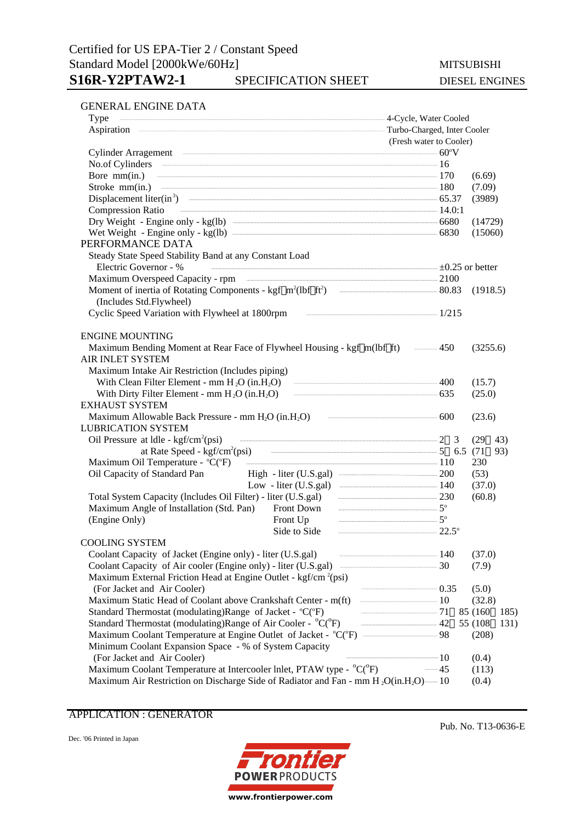#### GENERAL ENGINE DATA

| Type                                                                                          | -4-Cycle, Water Cooled  |                  |  |  |
|-----------------------------------------------------------------------------------------------|-------------------------|------------------|--|--|
|                                                                                               |                         |                  |  |  |
|                                                                                               | (Fresh water to Cooler) |                  |  |  |
| $Cylinder \, Arragement \, \, 60^{\circ}V \, \, 60^{\circ}V$                                  |                         |                  |  |  |
| No.of Cylinders 16                                                                            |                         |                  |  |  |
| Bore $mm(in.)$ $170$                                                                          |                         | (6.69)           |  |  |
| Stroke mm(in.) 180                                                                            |                         | (7.09)           |  |  |
| Displacement liter(in <sup>3</sup> ) $\qquad \qquad$ 65.37                                    |                         | (3989)           |  |  |
| $\frac{14.0:1}{14.0:1}$<br><b>Compression Ratio</b>                                           |                         |                  |  |  |
|                                                                                               |                         | (14729)          |  |  |
|                                                                                               |                         | (15060)          |  |  |
| PERFORMANCE DATA                                                                              |                         |                  |  |  |
| Steady State Speed Stability Band at any Constant Load                                        |                         |                  |  |  |
| Electric Governor - %<br>$\equiv$ $\pm 0.25$ or better                                        |                         |                  |  |  |
|                                                                                               |                         |                  |  |  |
|                                                                                               |                         |                  |  |  |
| (Includes Std.Flywheel)                                                                       |                         |                  |  |  |
| Cyclic Speed Variation with Flywheel at 1800rpm<br>$\frac{1}{215}$                            |                         |                  |  |  |
| <b>ENGINE MOUNTING</b>                                                                        |                         |                  |  |  |
| Maximum Bending Moment at Rear Face of Flywheel Housing - kgf m(lbf ft) ——450                 |                         | (3255.6)         |  |  |
| <b>AIR INLET SYSTEM</b>                                                                       |                         |                  |  |  |
| Maximum Intake Air Restriction (Includes piping)                                              |                         |                  |  |  |
| With Clean Filter Element - mm $H_2O$ (in. $H_2O$ ) $\qquad \qquad \qquad 400$                |                         | (15.7)           |  |  |
| With Dirty Filter Element - mm $H_2O$ (in $H_2O$ ) $\qquad \qquad \qquad$ 635                 |                         | (25.0)           |  |  |
| <b>EXHAUST SYSTEM</b>                                                                         |                         |                  |  |  |
| Maximum Allowable Back Pressure - mm $H_2O$ (in $H_2O$ ) $\qquad \qquad \qquad 600$           |                         | (23.6)           |  |  |
| <b>LUBRICATION SYSTEM</b>                                                                     |                         |                  |  |  |
| Oil Pressure at $ldle$ - kgf/cm <sup>2</sup> (psi)                                            |                         | (29 43)          |  |  |
|                                                                                               |                         | 93)              |  |  |
| Maximum Oil Temperature - °C(°F) 110                                                          |                         | 230              |  |  |
| High - liter (U.S.gal) <u>200</u><br>Oil Capacity of Standard Pan                             |                         | (53)             |  |  |
| Low - liter (U.S.gal) $\qquad \qquad$ 140                                                     |                         | (37.0)           |  |  |
| Total System Capacity (Includes Oil Filter) - liter (U.S.gal) - - - 230                       |                         | (60.8)           |  |  |
| $\frac{1}{5}$<br>Maximum Angle of Installation (Std. Pan)<br>Front Down                       |                         |                  |  |  |
| Front Up $5^{\circ}$<br>(Engine Only)<br>$\frac{1}{22.5^{\circ}}$                             |                         |                  |  |  |
| Side to Side<br><b>COOLING SYSTEM</b>                                                         |                         |                  |  |  |
| Coolant Capacity of Jacket (Engine only) - liter (U.S.gal)<br>$\frac{140}{2}$                 |                         |                  |  |  |
|                                                                                               |                         | (37.0)<br>(7.9)  |  |  |
| Maximum External Friction Head at Engine Outlet - kgf/cm <sup>2</sup> (psi)                   |                         |                  |  |  |
| (For Jacket and Air Cooler)                                                                   | $\frac{1}{2}$ 0.35      | (5.0)            |  |  |
| Maximum Static Head of Coolant above Crankshaft Center - m(ft)                                |                         | (32.8)           |  |  |
| Standard Thermostat (modulating)Range of Jacket - °C(°F)<br>$-$ 71                            |                         | 85 (160)<br>185) |  |  |
| Standard Thermostat (modulating)Range of Air Cooler - $^{\circ}C(^{\circ}F)$<br>$\frac{1}{2}$ |                         | 55 (108)<br>131) |  |  |
| Maximum Coolant Temperature at Engine Outlet of Jacket - °C(°F) — 98                          |                         | (208)            |  |  |
| Minimum Coolant Expansion Space - % of System Capacity                                        |                         |                  |  |  |
| (For Jacket and Air Cooler)                                                                   | $\frac{1}{10}$          | (0.4)            |  |  |
| Maximum Coolant Temperature at Intercooler lnlet, PTAW type - °C(°F)                          | $-45$                   | (113)            |  |  |
| Maximum Air Restriction on Discharge Side of Radiator and Fan - mm $H_2O(in.H_2O)$ —10        |                         | (0.4)            |  |  |
|                                                                                               |                         |                  |  |  |

APPLICATION : GENERATOR

Dec. '06 Printed in Japan



Pub. No. T13-0636-E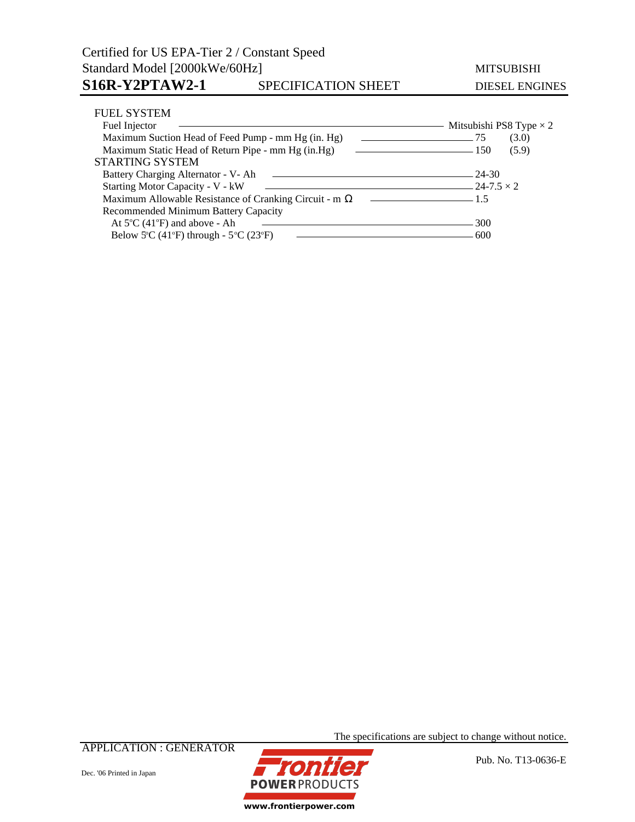### Certified for US EPA-Tier 2 / Constant Speed Standard Model [2000kWe/60Hz] MITSUBISHI S16R-Y2PTAW2-1 SPECIFICATION SHEET DIESEL ENGINES

| <b>FUEL SYSTEM</b>                                     |                                |
|--------------------------------------------------------|--------------------------------|
| Fuel Injector                                          | Mitsubishi PS8 Type $\times$ 2 |
| Maximum Suction Head of Feed Pump - mm Hg (in. Hg)     | (3.0)<br>$\sim$ 75             |
| Maximum Static Head of Return Pipe - mm Hg (in.Hg)     | (5.9)<br>$\sim$ 150            |
| <b>STARTING SYSTEM</b>                                 |                                |
| Battery Charging Alternator - V- Ah<br>$-$ 24-30       |                                |
| Starting Motor Capacity - V - kW<br>$-24-7.5 \times 2$ |                                |
| Maximum Allowable Resistance of Cranking Circuit - m   | $\sim$ 1.5                     |
| Recommended Minimum Battery Capacity                   |                                |
| At $5^{\circ}$ C (41 $^{\circ}$ F) and above - Ah      | 300                            |
| Below 5°C (41°F) through - $5^{\circ}$ C (23°F)        | 600                            |

APPLICATION : GENERATOR





The specifications are subject to change without notice.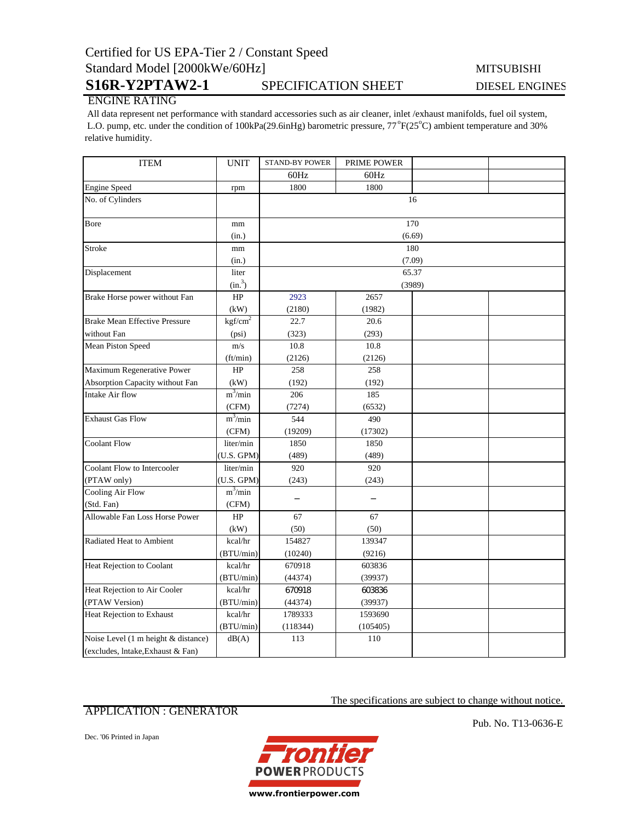## Certified for US EPA-Tier 2 / Constant Speed Standard Model [2000kWe/60Hz] MITSUBISHI

# S16R-Y2PTAW2-1 SPECIFICATION SHEET DIESEL ENGINES

### ENGINE RATING

 All data represent net performance with standard accessories such as air cleaner, inlet /exhaust manifolds, fuel oil system, L.O. pump, etc. under the condition of 100kPa(29.6inHg) barometric pressure, 77°F(25°C) ambient temperature and 30% relative humidity.

| <b>ITEM</b>                          | <b>UNIT</b>         | <b>STAND-BY POWER</b> | PRIME POWER |  |  |  |
|--------------------------------------|---------------------|-----------------------|-------------|--|--|--|
|                                      |                     | 60Hz                  | 60Hz        |  |  |  |
| <b>Engine Speed</b>                  | rpm                 | 1800                  | 1800        |  |  |  |
| No. of Cylinders                     |                     | 16                    |             |  |  |  |
|                                      |                     |                       |             |  |  |  |
| Bore                                 | mm                  | 170                   |             |  |  |  |
|                                      | (in.)               | (6.69)                |             |  |  |  |
| Stroke                               | mm                  | 180                   |             |  |  |  |
|                                      | (in.)               | (7.09)                |             |  |  |  |
| Displacement                         | liter               | 65.37                 |             |  |  |  |
|                                      | (in. <sup>3</sup> ) | (3989)                |             |  |  |  |
| Brake Horse power without Fan        | HP                  | 2923                  | 2657        |  |  |  |
|                                      | (kW)                | (2180)                | (1982)      |  |  |  |
| <b>Brake Mean Effective Pressure</b> | kgf/cm <sup>2</sup> | 22.7                  | 20.6        |  |  |  |
| without Fan                          | (psi)               | (323)                 | (293)       |  |  |  |
| Mean Piston Speed                    | m/s                 | 10.8                  | 10.8        |  |  |  |
|                                      | (ft/min)            | (2126)                | (2126)      |  |  |  |
| Maximum Regenerative Power           | HP                  | 258                   | 258         |  |  |  |
| Absorption Capacity without Fan      | (kW)                | (192)                 | (192)       |  |  |  |
| Intake Air flow                      | $m^3/m$ in          | 206                   | 185         |  |  |  |
|                                      | (CFM)               | (7274)                | (6532)      |  |  |  |
| <b>Exhaust Gas Flow</b>              | $m^3/m$ in          | 544                   | 490         |  |  |  |
|                                      | (CFM)               | (19209)               | (17302)     |  |  |  |
| <b>Coolant Flow</b>                  | liter/min           | 1850                  | 1850        |  |  |  |
|                                      | (U.S. GPM)          | (489)                 | (489)       |  |  |  |
| Coolant Flow to Intercooler          | liter/min           | 920                   | 920         |  |  |  |
| (PTAW only)                          | (U.S. GPM)          | (243)                 | (243)       |  |  |  |
| <b>Cooling Air Flow</b>              | $m^3/min$           |                       |             |  |  |  |
| (Std. Fan)                           | (CFM)               |                       |             |  |  |  |
| Allowable Fan Loss Horse Power       | HP                  | 67                    | 67          |  |  |  |
|                                      | (kW)                | (50)                  | (50)        |  |  |  |
| Radiated Heat to Ambient             | kcal/hr             | 154827                | 139347      |  |  |  |
|                                      | (BTU/min)           | (10240)               | (9216)      |  |  |  |
| Heat Rejection to Coolant            | kcal/hr             | 670918                | 603836      |  |  |  |
|                                      | (BTU/min)           | (44374)               | (39937)     |  |  |  |
| Heat Rejection to Air Cooler         | kcal/hr             | 670918                | 603836      |  |  |  |
| (PTAW Version)                       | (BTU/min)           | (44374)               | (39937)     |  |  |  |
| Heat Rejection to Exhaust            | kcal/hr             | 1789333               | 1593690     |  |  |  |
|                                      | (BTU/min)           | (118344)              | (105405)    |  |  |  |
| Noise Level (1 m height & distance)  | dB(A)               | 113                   | 110         |  |  |  |
| (excludes, lntake, Exhaust & Fan)    |                     |                       |             |  |  |  |

#### APPLICATION : GENERATOR

Dec. '06 Printed in Japan



Pub. No. T13-0636-E

The specifications are subject to change without notice.

www.frontierpower.com